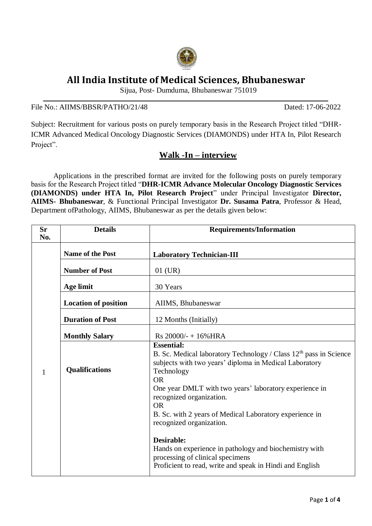# **All India Institute of Medical Sciences, Bhubaneswar**

Sijua, Post- Dumduma, Bhubaneswar 751019

#### File No.: AIIMS/BBSR/PATHO/21/48 Dated: 17-06-2022

Subject: Recruitment for various posts on purely temporary basis in the Research Project titled "DHR-ICMR Advanced Medical Oncology Diagnostic Services (DIAMONDS) under HTA In, Pilot Research Project".

## **Walk -In – interview**

Applications in the prescribed format are invited for the following posts on purely temporary basis for the Research Project titled "**DHR-ICMR Advance Molecular Oncology Diagnostic Services (DIAMONDS) under HTA In, Pilot Research Project**" under Principal Investigator **Director, AIIMS- Bhubaneswar**, & Functional Principal Investigator **Dr. Susama Patra**, Professor & Head, Department ofPathology, AIIMS, Bhubaneswar as per the details given below:

| <b>Sr</b><br>No. | <b>Requirements/Information</b><br><b>Details</b> |                                                                                                                                                                                                                                                                                                                                                                                   |  |  |
|------------------|---------------------------------------------------|-----------------------------------------------------------------------------------------------------------------------------------------------------------------------------------------------------------------------------------------------------------------------------------------------------------------------------------------------------------------------------------|--|--|
|                  | Name of the Post                                  | <b>Laboratory Technician-III</b>                                                                                                                                                                                                                                                                                                                                                  |  |  |
|                  | <b>Number of Post</b>                             | $01$ (UR)                                                                                                                                                                                                                                                                                                                                                                         |  |  |
|                  | Age limit                                         | 30 Years                                                                                                                                                                                                                                                                                                                                                                          |  |  |
|                  | <b>Location of position</b>                       | AIIMS, Bhubaneswar                                                                                                                                                                                                                                                                                                                                                                |  |  |
|                  | <b>Duration of Post</b>                           | 12 Months (Initially)                                                                                                                                                                                                                                                                                                                                                             |  |  |
|                  | <b>Monthly Salary</b>                             | $Rs 20000/- + 16\% HRA$                                                                                                                                                                                                                                                                                                                                                           |  |  |
| 1                | <b>Qualifications</b>                             | <b>Essential:</b><br>B. Sc. Medical laboratory Technology / Class 12 <sup>th</sup> pass in Science<br>subjects with two years' diploma in Medical Laboratory<br>Technology<br><b>OR</b><br>One year DMLT with two years' laboratory experience in<br>recognized organization.<br><b>OR</b><br>B. Sc. with 2 years of Medical Laboratory experience in<br>recognized organization. |  |  |
|                  |                                                   | Desirable:<br>Hands on experience in pathology and biochemistry with<br>processing of clinical specimens<br>Proficient to read, write and speak in Hindi and English                                                                                                                                                                                                              |  |  |

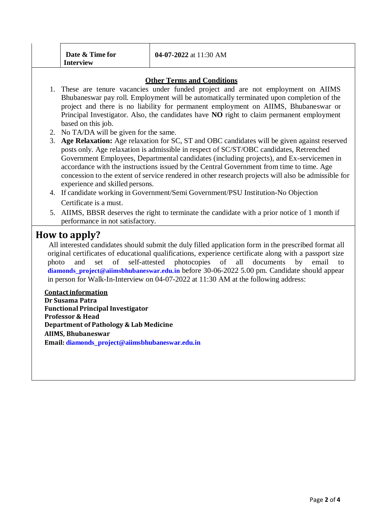### **Other Terms and Conditions**

- 1. These are tenure vacancies under funded project and are not employment on AIIMS Bhubaneswar pay roll. Employment will be automatically terminated upon completion of the project and there is no liability for permanent employment on AIIMS, Bhubaneswar or Principal Investigator. Also, the candidates have **NO** right to claim permanent employment based on this job.
- 2. No TA/DA will be given for the same.
- 3. **Age Relaxation:** Age relaxation for SC, ST and OBC candidates will be given against reserved posts only. Age relaxation is admissible in respect of SC/ST/OBC candidates, Retrenched Government Employees, Departmental candidates (including projects), and Ex-servicemen in accordance with the instructions issued by the Central Government from time to time. Age concession to the extent of service rendered in other research projects will also be admissible for experience and skilled persons.
- 4. If candidate working in Government/Semi Government/PSU Institution-No Objection Certificate is a must.
- 5. AIIMS, BBSR deserves the right to terminate the candidate with a prior notice of 1 month if performance in not satisfactory.

## **How to apply?**

All interested candidates should submit the duly filled application form in the prescribed format all original certificates of educational qualifications, experience certificate along with a passport size photo and set of self-attested photocopies of all documents by email to diamonds project@aiimsbhubaneswar.edu.in before 30-06-2022 5.00 pm. Candidate should appear in person for Walk-In-Interview on 04-07-2022 at 11:30 AM at the following address:

**Contactinformation Dr Susama Patra Functional Principal Investigator Professor & Head Department of Pathology & Lab Medicine AIIMS, Bhubaneswar Email: [diamonds\\_project@aiimsbhubaneswar.edu.i](mailto:diamonds_project@aiimsbhubaneswar.edu.)n**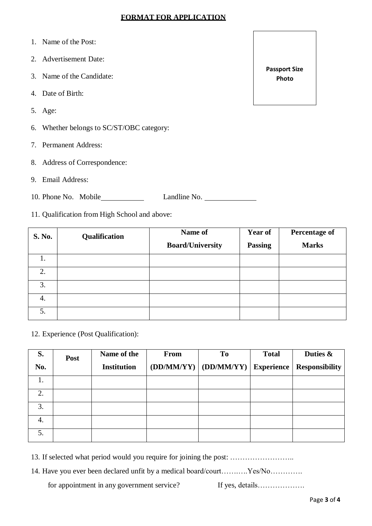### **FORMAT FOR APPLICATION**

- 1. Name of the Post:
- 2. Advertisement Date:
- 3. Name of the Candidate:
- 4. Date of Birth:
- 5. Age:
- 6. Whether belongs to SC/ST/OBC category:
- 7. Permanent Address:
- 8. Address of Correspondence:
- 9. Email Address:

10. Phone No. Mobile Landline No.

11. Qualification from High School and above:

| <b>S. No.</b> | Qualification | Name of                 | Year of        | <b>Percentage of</b> |
|---------------|---------------|-------------------------|----------------|----------------------|
|               |               | <b>Board/University</b> | <b>Passing</b> | <b>Marks</b>         |
| ī.            |               |                         |                |                      |
| 2.            |               |                         |                |                      |
| 3.            |               |                         |                |                      |
| 4.            |               |                         |                |                      |
| 5.            |               |                         |                |                      |

12. Experience (Post Qualification):

| S.  | <b>Post</b> | Name of the        | <b>From</b> | To                                   | <b>Total</b> | Duties &              |
|-----|-------------|--------------------|-------------|--------------------------------------|--------------|-----------------------|
| No. |             | <b>Institution</b> |             | $(DD/MM/YY)$ $(DD/MM/YY)$ Experience |              | <b>Responsibility</b> |
| 1.  |             |                    |             |                                      |              |                       |
| 2.  |             |                    |             |                                      |              |                       |
| 3.  |             |                    |             |                                      |              |                       |
| 4.  |             |                    |             |                                      |              |                       |
| 5.  |             |                    |             |                                      |              |                       |

13. If selected what period would you require for joining the post: ……………………..

14. Have you ever been declared unfit by a medical board/court…….….Yes/No………….

for appointment in any government service? If yes, details……………….

**Passport Size Photo**